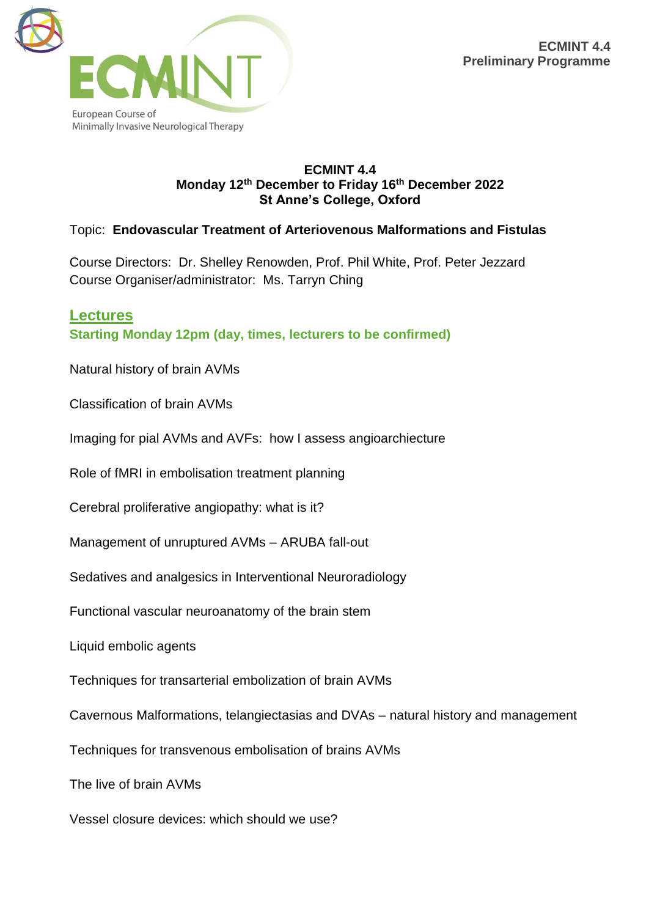

#### **ECMINT 4.4 Monday 12th December to Friday 16th December 2022 St Anne's College, Oxford**

Topic: **Endovascular Treatment of Arteriovenous Malformations and Fistulas**

Course Directors: Dr. Shelley Renowden, Prof. Phil White, Prof. Peter Jezzard Course Organiser/administrator: Ms. Tarryn Ching

**Lectures Starting Monday 12pm (day, times, lecturers to be confirmed)**

Natural history of brain AVMs

Classification of brain AVMs

Imaging for pial AVMs and AVFs: how I assess angioarchiecture

Role of fMRI in embolisation treatment planning

Cerebral proliferative angiopathy: what is it?

Management of unruptured AVMs – ARUBA fall-out

Sedatives and analgesics in Interventional Neuroradiology

Functional vascular neuroanatomy of the brain stem

Liquid embolic agents

Techniques for transarterial embolization of brain AVMs

Cavernous Malformations, telangiectasias and DVAs – natural history and management

Techniques for transvenous embolisation of brains AVMs

The live of brain AVMs

Vessel closure devices: which should we use?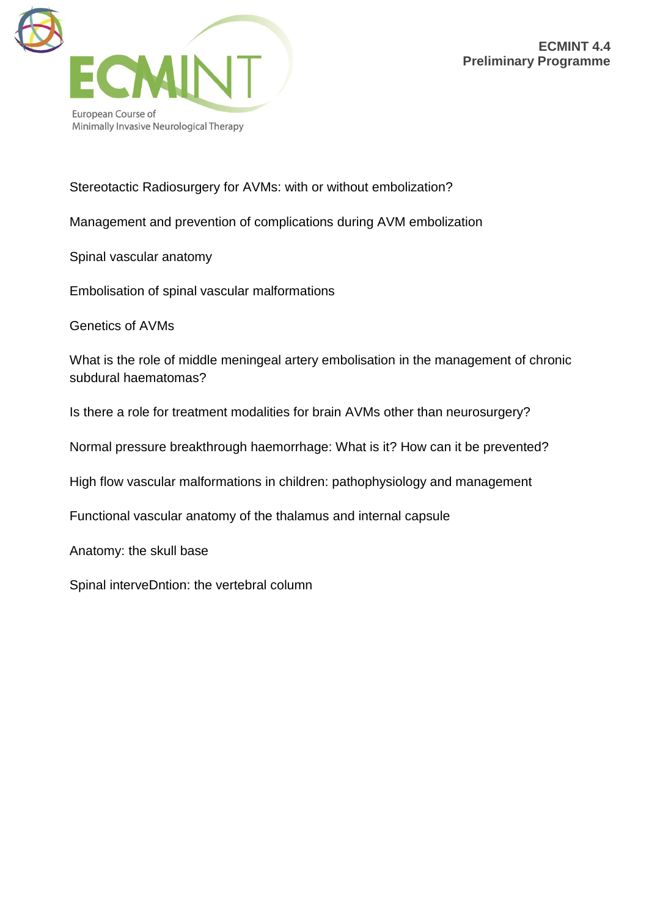

### Stereotactic Radiosurgery for AVMs: with or without embolization?

Management and prevention of complications during AVM embolization

Spinal vascular anatomy

Embolisation of spinal vascular malformations

Genetics of AVMs

What is the role of middle meningeal artery embolisation in the management of chronic subdural haematomas?

Is there a role for treatment modalities for brain AVMs other than neurosurgery?

Normal pressure breakthrough haemorrhage: What is it? How can it be prevented?

High flow vascular malformations in children: pathophysiology and management

Functional vascular anatomy of the thalamus and internal capsule

Anatomy: the skull base

Spinal interveDntion: the vertebral column